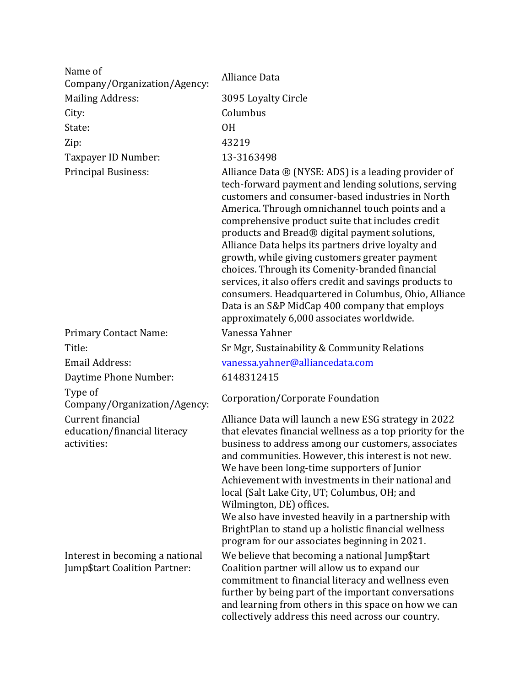| Name of<br>Company/Organization/Agency:                          | Alliance Data                                                                                                                                                                                                                                                                                                                                                                                                                                                                                                                                                                                                                                                                                         |
|------------------------------------------------------------------|-------------------------------------------------------------------------------------------------------------------------------------------------------------------------------------------------------------------------------------------------------------------------------------------------------------------------------------------------------------------------------------------------------------------------------------------------------------------------------------------------------------------------------------------------------------------------------------------------------------------------------------------------------------------------------------------------------|
| <b>Mailing Address:</b>                                          | 3095 Loyalty Circle                                                                                                                                                                                                                                                                                                                                                                                                                                                                                                                                                                                                                                                                                   |
| City:                                                            | Columbus                                                                                                                                                                                                                                                                                                                                                                                                                                                                                                                                                                                                                                                                                              |
| State:                                                           | <b>OH</b>                                                                                                                                                                                                                                                                                                                                                                                                                                                                                                                                                                                                                                                                                             |
| Zip:                                                             | 43219                                                                                                                                                                                                                                                                                                                                                                                                                                                                                                                                                                                                                                                                                                 |
| Taxpayer ID Number:                                              | 13-3163498                                                                                                                                                                                                                                                                                                                                                                                                                                                                                                                                                                                                                                                                                            |
| Principal Business:                                              | Alliance Data ® (NYSE: ADS) is a leading provider of<br>tech-forward payment and lending solutions, serving<br>customers and consumer-based industries in North<br>America. Through omnichannel touch points and a<br>comprehensive product suite that includes credit<br>products and Bread® digital payment solutions,<br>Alliance Data helps its partners drive loyalty and<br>growth, while giving customers greater payment<br>choices. Through its Comenity-branded financial<br>services, it also offers credit and savings products to<br>consumers. Headquartered in Columbus, Ohio, Alliance<br>Data is an S&P MidCap 400 company that employs<br>approximately 6,000 associates worldwide. |
| <b>Primary Contact Name:</b>                                     | Vanessa Yahner                                                                                                                                                                                                                                                                                                                                                                                                                                                                                                                                                                                                                                                                                        |
| Title:                                                           | Sr Mgr, Sustainability & Community Relations                                                                                                                                                                                                                                                                                                                                                                                                                                                                                                                                                                                                                                                          |
| <b>Email Address:</b>                                            | vanessa.yahner@alliancedata.com                                                                                                                                                                                                                                                                                                                                                                                                                                                                                                                                                                                                                                                                       |
| Daytime Phone Number:                                            | 6148312415                                                                                                                                                                                                                                                                                                                                                                                                                                                                                                                                                                                                                                                                                            |
| Type of<br>Company/Organization/Agency:                          | Corporation/Corporate Foundation                                                                                                                                                                                                                                                                                                                                                                                                                                                                                                                                                                                                                                                                      |
| Current financial<br>education/financial literacy<br>activities: | Alliance Data will launch a new ESG strategy in 2022<br>that elevates financial wellness as a top priority for the<br>business to address among our customers, associates<br>and communities. However, this interest is not new.<br>We have been long-time supporters of Junior<br>Achievement with investments in their national and<br>local (Salt Lake City, UT; Columbus, OH; and<br>Wilmington, DE) offices.<br>We also have invested heavily in a partnership with<br>BrightPlan to stand up a holistic financial wellness<br>program for our associates beginning in 2021.                                                                                                                     |
| Interest in becoming a national<br>Jump\$tart Coalition Partner: | We believe that becoming a national Jump\$tart<br>Coalition partner will allow us to expand our<br>commitment to financial literacy and wellness even<br>further by being part of the important conversations<br>and learning from others in this space on how we can<br>collectively address this need across our country.                                                                                                                                                                                                                                                                                                                                                                           |